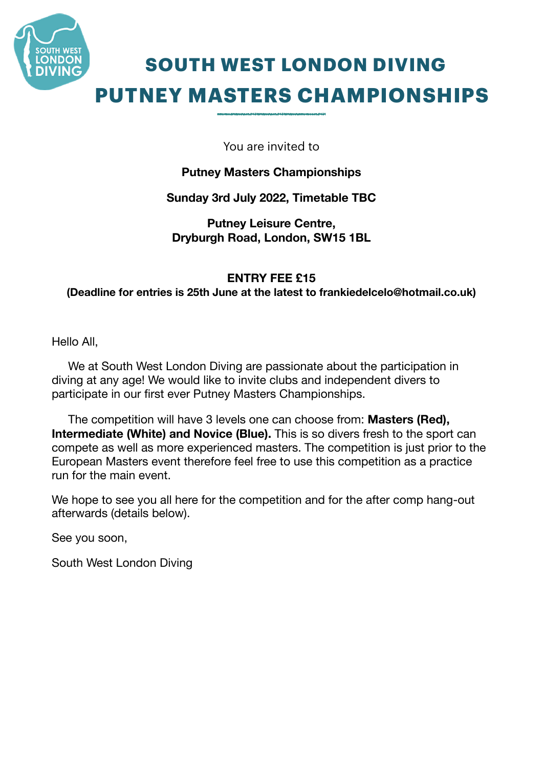

# **SOUTH WEST LONDON DIVING PUTNEY MASTERS CHAMPIONSHIPS**

You are invited to

## **Putney Masters Championships**

## **Sunday 3rd July 2022, Timetable TBC**

**Putney Leisure Centre, Dryburgh Road, London, SW15 1BL** 

### **ENTRY FEE £15**

**(Deadline for entries is 25th June at the latest to frankiedelcelo@hotmail.co.uk)** 

Hello All,

 We at South West London Diving are passionate about the participation in diving at any age! We would like to invite clubs and independent divers to participate in our first ever Putney Masters Championships.

 The competition will have 3 levels one can choose from: **Masters (Red), Intermediate (White) and Novice (Blue).** This is so divers fresh to the sport can compete as well as more experienced masters. The competition is just prior to the European Masters event therefore feel free to use this competition as a practice run for the main event.

We hope to see you all here for the competition and for the after comp hang-out afterwards (details below).

See you soon,

South West London Diving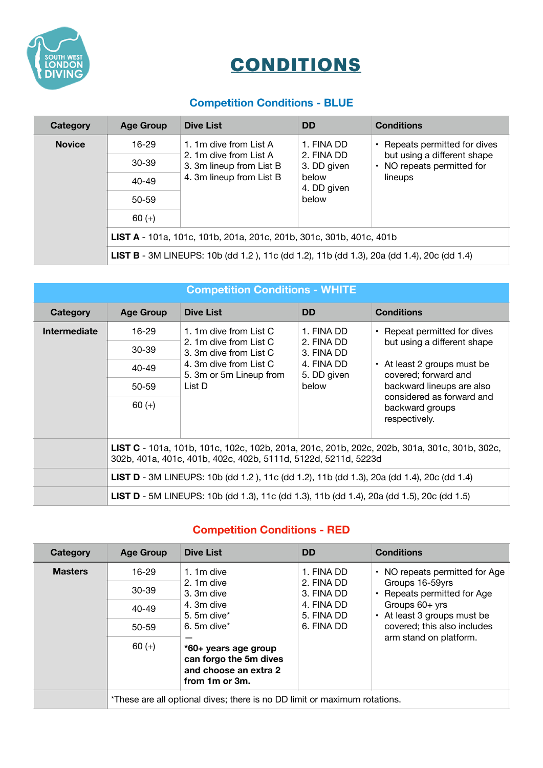

## **CONDITIONS**

## **Competition Conditions - BLUE**

| Category      | <b>Age Group</b>                                                                          | <b>Dive List</b>                                                                                         | <b>DD</b>                                                                | <b>Conditions</b>                                                                                     |  |
|---------------|-------------------------------------------------------------------------------------------|----------------------------------------------------------------------------------------------------------|--------------------------------------------------------------------------|-------------------------------------------------------------------------------------------------------|--|
| <b>Novice</b> | 16-29                                                                                     | 1. 1m dive from List A<br>2. 1m dive from List A<br>3. 3m lineup from List B<br>4. 3m lineup from List B | 1. FINA DD<br>2. FINA DD<br>3. DD given<br>below<br>4. DD given<br>below | • Repeats permitted for dives<br>but using a different shape<br>• NO repeats permitted for<br>lineups |  |
|               | $30 - 39$                                                                                 |                                                                                                          |                                                                          |                                                                                                       |  |
|               | $40 - 49$                                                                                 |                                                                                                          |                                                                          |                                                                                                       |  |
|               | 50-59                                                                                     |                                                                                                          |                                                                          |                                                                                                       |  |
|               | $60 (+)$                                                                                  |                                                                                                          |                                                                          |                                                                                                       |  |
|               | LIST A - 101a, 101c, 101b, 201a, 201c, 201b, 301c, 301b, 401c, 401b                       |                                                                                                          |                                                                          |                                                                                                       |  |
|               | LIST B - 3M LINEUPS: 10b (dd 1.2), 11c (dd 1.2), 11b (dd 1.3), 20a (dd 1.4), 20c (dd 1.4) |                                                                                                          |                                                                          |                                                                                                       |  |

| <b>Competition Conditions - WHITE</b> |                                                                                                                                                                |                                                                                                                                           |                                                                              |                                                                                                                                                                                                                        |  |
|---------------------------------------|----------------------------------------------------------------------------------------------------------------------------------------------------------------|-------------------------------------------------------------------------------------------------------------------------------------------|------------------------------------------------------------------------------|------------------------------------------------------------------------------------------------------------------------------------------------------------------------------------------------------------------------|--|
| Category                              | <b>Age Group</b>                                                                                                                                               | <b>Dive List</b>                                                                                                                          | <b>DD</b>                                                                    | <b>Conditions</b>                                                                                                                                                                                                      |  |
| <b>Intermediate</b>                   | $16 - 29$                                                                                                                                                      | 1. 1m dive from List C<br>2. 1m dive from List C<br>3. 3m dive from List C<br>4. 3m dive from List C<br>5. 3m or 5m Lineup from<br>List D | 1. FINA DD<br>2. FINA DD<br>3. FINA DD<br>4. FINA DD<br>5. DD given<br>below | • Repeat permitted for dives<br>but using a different shape<br>$\cdot$ At least 2 groups must be<br>covered; forward and<br>backward lineups are also<br>considered as forward and<br>backward groups<br>respectively. |  |
|                                       | $30 - 39$                                                                                                                                                      |                                                                                                                                           |                                                                              |                                                                                                                                                                                                                        |  |
|                                       | 40-49                                                                                                                                                          |                                                                                                                                           |                                                                              |                                                                                                                                                                                                                        |  |
|                                       | $50 - 59$                                                                                                                                                      |                                                                                                                                           |                                                                              |                                                                                                                                                                                                                        |  |
|                                       | $60 (+)$                                                                                                                                                       |                                                                                                                                           |                                                                              |                                                                                                                                                                                                                        |  |
|                                       | LIST C - 101a, 101b, 101c, 102c, 102b, 201a, 201c, 201b, 202c, 202b, 301a, 301c, 301b, 302c,<br>302b, 401a, 401c, 401b, 402c, 402b, 5111d, 5122d, 5211d, 5223d |                                                                                                                                           |                                                                              |                                                                                                                                                                                                                        |  |
|                                       | LIST D - 3M LINEUPS: 10b (dd 1.2), 11c (dd 1.2), 11b (dd 1.3), 20a (dd 1.4), 20c (dd 1.4)                                                                      |                                                                                                                                           |                                                                              |                                                                                                                                                                                                                        |  |
|                                       | <b>LIST D</b> - 5M LINEUPS: 10b (dd 1.3), 11c (dd 1.3), 11b (dd 1.4), 20a (dd 1.5), 20c (dd 1.5)                                                               |                                                                                                                                           |                                                                              |                                                                                                                                                                                                                        |  |

## **Competition Conditions - RED**

| Category       | <b>Age Group</b>                                                          | <b>Dive List</b>                                                                          | <b>DD</b>                | <b>Conditions</b>                             |
|----------------|---------------------------------------------------------------------------|-------------------------------------------------------------------------------------------|--------------------------|-----------------------------------------------|
| <b>Masters</b> | 16-29                                                                     | 1. $1m$ dive                                                                              | 1. FINA DD               | • NO repeats permitted for Age                |
|                | 30-39                                                                     | 2.1m dive<br>3. 3m dive                                                                   | 2. FINA DD<br>3. FINA DD | Groups 16-59yrs<br>Repeats permitted for Age  |
|                | $40 - 49$                                                                 | 4. 3m dive<br>$5.5m$ dive $*$                                                             | 4. FINA DD<br>5. FINA DD | Groups 60+ yrs<br>• At least 3 groups must be |
|                | $50 - 59$                                                                 | $6.5m$ dive <sup>*</sup>                                                                  | 6. FINA DD               | covered; this also includes                   |
|                | $60 (+)$                                                                  | *60+ years age group<br>can forgo the 5m dives<br>and choose an extra 2<br>from 1m or 3m. |                          | arm stand on platform.                        |
|                | *These are all optional dives; there is no DD limit or maximum rotations. |                                                                                           |                          |                                               |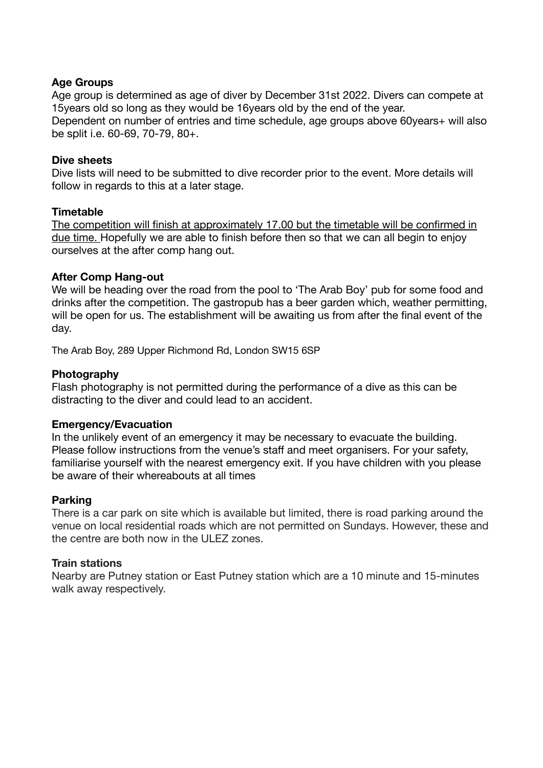#### **Age Groups**

Age group is determined as age of diver by December 31st 2022. Divers can compete at 15years old so long as they would be 16years old by the end of the year. Dependent on number of entries and time schedule, age groups above 60years+ will also be split i.e. 60-69, 70-79, 80+.

#### **Dive sheets**

Dive lists will need to be submitted to dive recorder prior to the event. More details will follow in regards to this at a later stage.

#### **Timetable**

The competition will finish at approximately 17.00 but the timetable will be confirmed in due time. Hopefully we are able to finish before then so that we can all begin to enjoy ourselves at the after comp hang out.

#### **After Comp Hang-out**

We will be heading over the road from the pool to 'The Arab Boy' pub for some food and drinks after the competition. The gastropub has a beer garden which, weather permitting, will be open for us. The establishment will be awaiting us from after the final event of the day.

The Arab Boy, 289 Upper Richmond Rd, London SW15 6SP

#### **Photography**

Flash photography is not permitted during the performance of a dive as this can be distracting to the diver and could lead to an accident.

#### **Emergency/Evacuation**

In the unlikely event of an emergency it may be necessary to evacuate the building. Please follow instructions from the venue's staff and meet organisers. For your safety, familiarise yourself with the nearest emergency exit. If you have children with you please be aware of their whereabouts at all times

#### **Parking**

There is a car park on site which is available but limited, there is road parking around the venue on local residential roads which are not permitted on Sundays. However, these and the centre are both now in the ULEZ zones.

#### **Train stations**

Nearby are Putney station or East Putney station which are a 10 minute and 15-minutes walk away respectively.